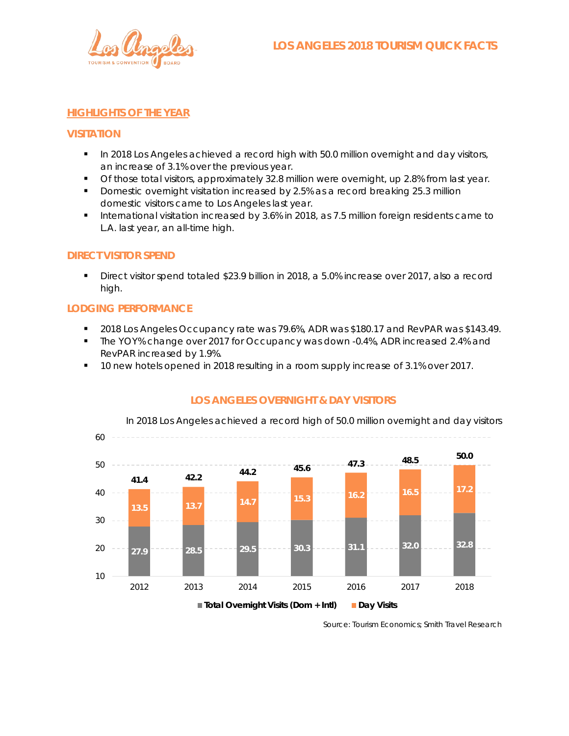

### **HIGHLIGHTS OF THE YEAR**

#### **VISITATION**

- **In 2018 Los Angeles achieved a record high with 50.0 million overnight and day visitors,** an increase of 3.1% over the previous year.
- **T** Of those total visitors, approximately 32.8 million were overnight, up 2.8% from last year.
- Domestic overnight visitation increased by 2.5% as a record breaking 25.3 million domestic visitors came to Los Angeles last year.
- **International visitation increased by 3.6% in 2018, as 7.5 million foreign residents came to** L.A. last year, an all-time high.

### **DIRECT VISITOR SPEND**

Direct visitor spend totaled \$23.9 billion in 2018, a 5.0% increase over 2017, also a record high.

#### **LODGING PERFORMANCE**

- 2018 Los Angeles Occupancy rate was 79.6%, ADR was \$180.17 and RevPAR was \$143.49.
- **The YOY% change over 2017 for Occupancy was down -0.4%, ADR increased 2.4% and** RevPAR increased by 1.9%.
- 10 new hotels opened in 2018 resulting in a room supply increase of 3.1% over 2017.



## **LOS ANGELES OVERNIGHT & DAY VISITORS**

Source: Tourism Economics; Smith Travel Research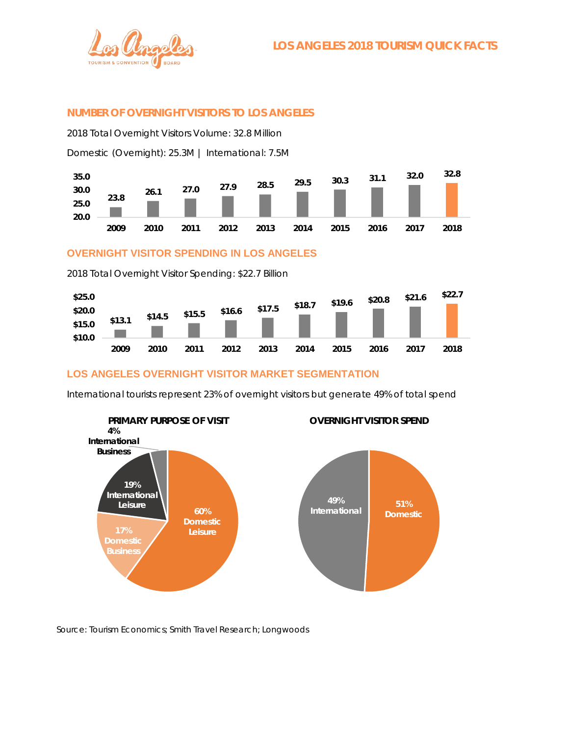

## **NUMBER OF OVERNIGHT VISITORS TO LOS ANGELES**

2018 Total Overnight Visitors Volume: 32.8 Million

Domestic (Overnight): 25.3M | International: 7.5M



**OVERNIGHT VISITOR SPENDING IN LOS ANGELES**

2018 Total Overnight Visitor Spending: \$22.7 Billion



## **LOS ANGELES OVERNIGHT VISITOR MARKET SEGMENTATION**

International tourists represent 23% of overnight visitors but generate 49% of total spend



Source: Tourism Economics; Smith Travel Research; Longwoods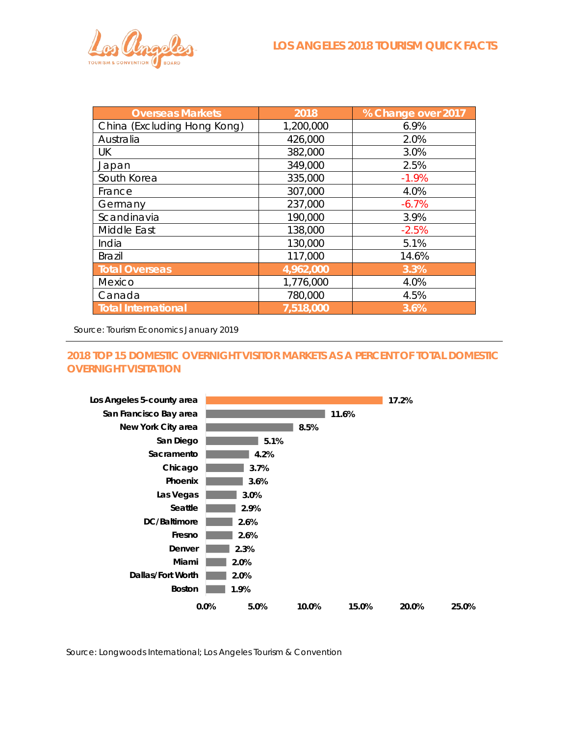| <b>Overseas Markets</b>     | 2018      | % Change over 2017 |
|-----------------------------|-----------|--------------------|
| China (Excluding Hong Kong) | 1,200,000 | 6.9%               |
| Australia                   | 426,000   | 2.0%               |
| UK                          | 382,000   | 3.0%               |
| Japan                       | 349,000   | 2.5%               |
| South Korea                 | 335,000   | $-1.9%$            |
| France                      | 307,000   | 4.0%               |
| Germany                     | 237,000   | $-6.7%$            |
| Scandinavia                 | 190,000   | 3.9%               |
| Middle East                 | 138,000   | $-2.5%$            |
| India                       | 130,000   | 5.1%               |
| <b>Brazil</b>               | 117,000   | 14.6%              |
| <b>Total Overseas</b>       | 4,962,000 | 3.3%               |
| Mexico                      | 1,776,000 | 4.0%               |
| Canada                      | 780,000   | 4.5%               |
| Total International         | 7,518,000 | 3.6%               |

Source: Tourism Economics January 2019

# **2018 TOP 15 DOMESTIC OVERNIGHT VISITOR MARKETS AS A PERCENT OF TOTAL DOMESTIC OVERNIGHT VISITATION**



Source: Longwoods International; Los Angeles Tourism & Convention